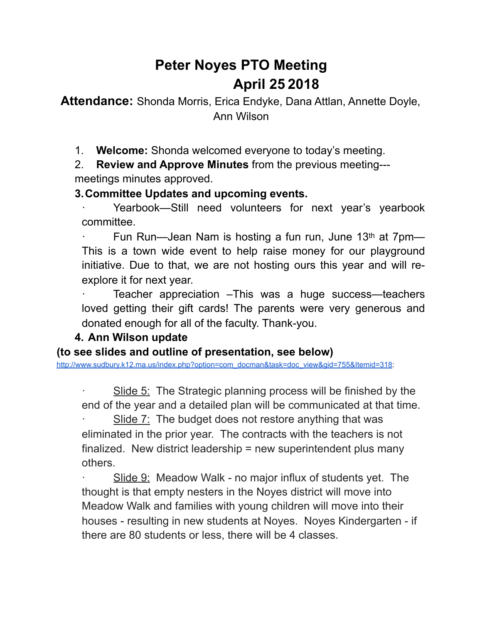# **Peter Noyes PTO Meeting April 25 2018**

**Attendance:** Shonda Morris, Erica Endyke, Dana Attlan, Annette Doyle, Ann Wilson

1. **Welcome:** Shonda welcomed everyone to today's meeting.

2. **Review and Approve Minutes** from the previous meeting-- meetings minutes approved.

#### **3. Committee Updates and upcoming events.**

Yearbook—Still need volunteers for next year's yearbook committee.

Fun Run—Jean Nam is hosting a fun run, June 13<sup>th</sup> at 7pm— This is a town wide event to help raise money for our playground initiative. Due to that, we are not hosting ours this year and will reexplore it for next year.

Teacher appreciation –This was a huge success—teachers loved getting their gift cards! The parents were very generous and donated enough for all of the faculty. Thank-you.

### **4. Ann Wilson update**

**(to see slides and outline of presentation, see below)** 

[http://www.sudbury.k12.ma.us/index.php?option=com\\_docman&task=doc\\_view&gid=755&Itemid=318:](http://www.sudbury.k12.ma.us/index.php?option=com_docman&task=doc_view&gid=755&Itemid=318)

Slide 5: The Strategic planning process will be finished by the end of the year and a detailed plan will be communicated at that time.

Slide 7: The budget does not restore anything that was eliminated in the prior year. The contracts with the teachers is not finalized. New district leadership = new superintendent plus many others.

Slide 9: Meadow Walk - no major influx of students yet. The thought is that empty nesters in the Noyes district will move into Meadow Walk and families with young children will move into their houses - resulting in new students at Noyes. Noyes Kindergarten - if there are 80 students or less, there will be 4 classes.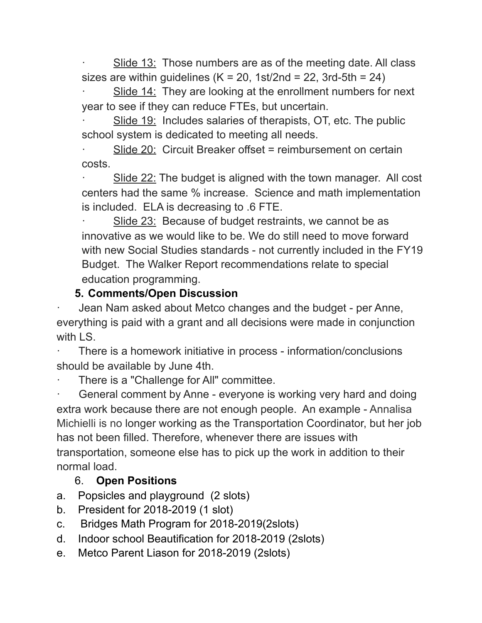Slide 13: Those numbers are as of the meeting date. All class sizes are within guidelines  $(K = 20, 1st/2nd = 22, 3rd-5th = 24)$ 

Slide 14: They are looking at the enrollment numbers for next year to see if they can reduce FTEs, but uncertain.

Slide 19: Includes salaries of therapists, OT, etc. The public school system is dedicated to meeting all needs.

Slide 20: Circuit Breaker offset = reimbursement on certain costs.

Slide 22: The budget is aligned with the town manager. All cost centers had the same % increase. Science and math implementation is included. ELA is decreasing to .6 FTE.

Slide 23: Because of budget restraints, we cannot be as innovative as we would like to be. We do still need to move forward with new Social Studies standards - not currently included in the FY19 Budget. The Walker Report recommendations relate to special education programming.

## **5. Comments/Open Discussion**

Jean Nam asked about Metco changes and the budget - per Anne, everything is paid with a grant and all decisions were made in conjunction with LS.

There is a homework initiative in process - information/conclusions should be available by June 4th.

There is a "Challenge for All" committee.

General comment by Anne - everyone is working very hard and doing extra work because there are not enough people. An example - Annalisa Michielli is no longer working as the Transportation Coordinator, but her job has not been filled. Therefore, whenever there are issues with transportation, someone else has to pick up the work in addition to their normal load.

### 6. **Open Positions**

- a. Popsicles and playground (2 slots)
- b. President for 2018-2019 (1 slot)
- c. Bridges Math Program for 2018-2019(2slots)
- d. Indoor school Beautification for 2018-2019 (2slots)
- e. Metco Parent Liason for 2018-2019 (2slots)